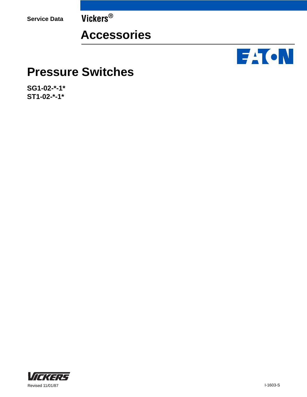**Service Data Vickers®**

## **Accessories**



## **Pressure Switches**

**SG1-02-\*-1\* ST1-02-\*-1\***

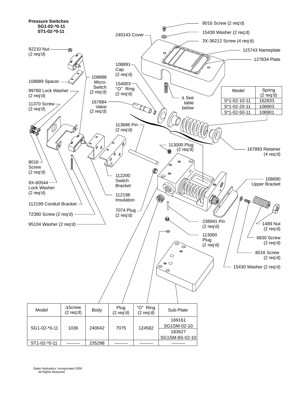

Eaton Hydraulics, Incorporated 2000 All Rights Reserved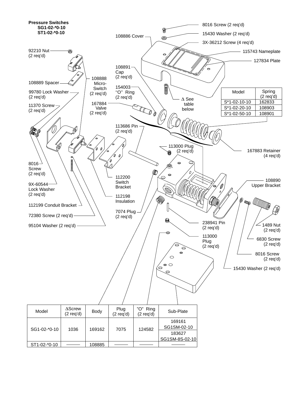